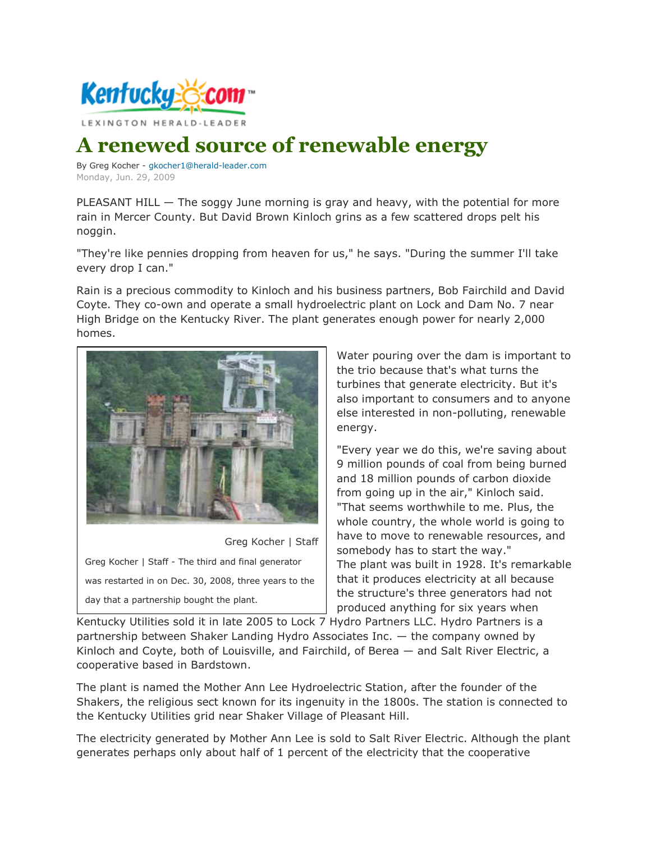

## **A renewed source of renewable energy**

By Greg Kocher - [gkocher1@herald-leader.com](mailto:gkocher1@herald-leader.com) Monday, Jun. 29, 2009

PLEASANT HILL — The soggy June morning is gray and heavy, with the potential for more rain in Mercer County. But David Brown Kinloch grins as a few scattered drops pelt his noggin.

"They're like pennies dropping from heaven for us," he says. "During the summer I'll take every drop I can."

Rain is a precious commodity to Kinloch and his business partners, Bob Fairchild and David Coyte. They co-own and operate a small hydroelectric plant on Lock and Dam No. 7 near High Bridge on the Kentucky River. The plant generates enough power for nearly 2,000 homes.



Greg Kocher | Staff

Greg Kocher | Staff - The third and final generator was restarted in on Dec. 30, 2008, three years to the day that a partnership bought the plant.

Water pouring over the dam is important to the trio because that's what turns the turbines that generate electricity. But it's also important to consumers and to anyone else interested in non-polluting, renewable energy.

"Every year we do this, we're saving about 9 million pounds of coal from being burned and 18 million pounds of carbon dioxide from going up in the air," Kinloch said. "That seems worthwhile to me. Plus, the whole country, the whole world is going to have to move to renewable resources, and somebody has to start the way." The plant was built in 1928. It's remarkable that it produces electricity at all because the structure's three generators had not produced anything for six years when

Kentucky Utilities sold it in late 2005 to Lock 7 Hydro Partners LLC. Hydro Partners is a partnership between Shaker Landing Hydro Associates Inc. — the company owned by Kinloch and Coyte, both of Louisville, and Fairchild, of Berea — and Salt River Electric, a cooperative based in Bardstown.

The plant is named the Mother Ann Lee Hydroelectric Station, after the founder of the Shakers, the religious sect known for its ingenuity in the 1800s. The station is connected to the Kentucky Utilities grid near Shaker Village of Pleasant Hill.

The electricity generated by Mother Ann Lee is sold to Salt River Electric. Although the plant generates perhaps only about half of 1 percent of the electricity that the cooperative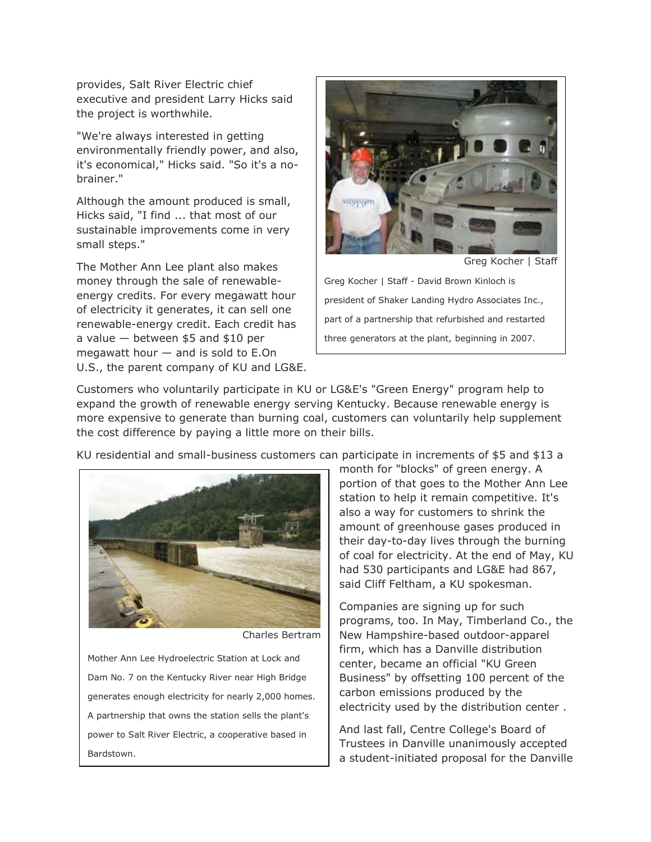provides, Salt River Electric chief executive and president Larry Hicks said the project is worthwhile.

"We're always interested in getting environmentally friendly power, and also, it's economical," Hicks said. "So it's a nobrainer."

Although the amount produced is small, Hicks said, "I find ... that most of our sustainable improvements come in very small steps."

The Mother Ann Lee plant also makes money through the sale of renewableenergy credits. For every megawatt hour of electricity it generates, it can sell one renewable-energy credit. Each credit has a value — between \$5 and \$10 per megawatt hour — and is sold to E.On U.S., the parent company of KU and LG&E.



Greg Kocher | Staff - David Brown Kinloch is president of Shaker Landing Hydro Associates Inc., part of a partnership that refurbished and restarted three generators at the plant, beginning in 2007.

Customers who voluntarily participate in KU or LG&E's "Green Energy" program help to expand the growth of renewable energy serving Kentucky. Because renewable energy is more expensive to generate than burning coal, customers can voluntarily help supplement the cost difference by paying a little more on their bills.

KU residential and small-business customers can participate in increments of \$5 and \$13 a



Charles Bertram

Mother Ann Lee Hydroelectric Station at Lock and Dam No. 7 on the Kentucky River near High Bridge generates enough electricity for nearly 2,000 homes. A partnership that owns the station sells the plant's power to Salt River Electric, a cooperative based in Bardstown.

month for "blocks" of green energy. A portion of that goes to the Mother Ann Lee station to help it remain competitive. It's also a way for customers to shrink the amount of greenhouse gases produced in their day-to-day lives through the burning of coal for electricity. At the end of May, KU had 530 participants and LG&E had 867, said Cliff Feltham, a KU spokesman.

Companies are signing up for such programs, too. In May, Timberland Co., the New Hampshire-based outdoor-apparel firm, which has a Danville distribution center, became an official "KU Green Business" by offsetting 100 percent of the carbon emissions produced by the electricity used by the distribution center .

And last fall, Centre College's Board of Trustees in Danville unanimously accepted a student-initiated proposal for the Danville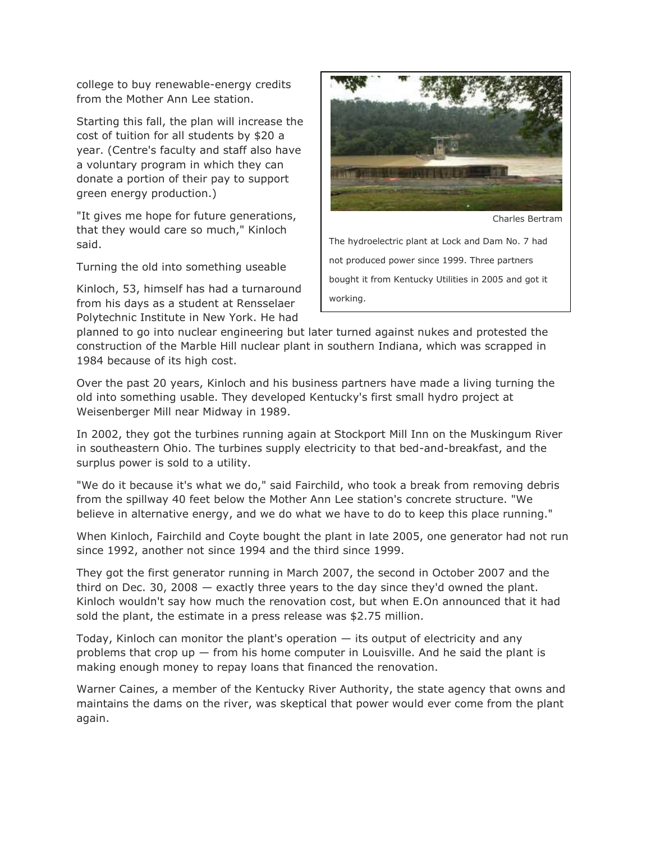college to buy renewable-energy credits from the Mother Ann Lee station.

Starting this fall, the plan will increase the cost of tuition for all students by \$20 a year. (Centre's faculty and staff also have a voluntary program in which they can donate a portion of their pay to support green energy production.)

"It gives me hope for future generations, that they would care so much," Kinloch said.

Turning the old into something useable

Kinloch, 53, himself has had a turnaround from his days as a student at Rensselaer Polytechnic Institute in New York. He had



Charles Bertram

The hydroelectric plant at Lock and Dam No. 7 had not produced power since 1999. Three partners bought it from Kentucky Utilities in 2005 and got it working.

planned to go into nuclear engineering but later turned against nukes and protested the construction of the Marble Hill nuclear plant in southern Indiana, which was scrapped in 1984 because of its high cost.

Over the past 20 years, Kinloch and his business partners have made a living turning the old into something usable. They developed Kentucky's first small hydro project at Weisenberger Mill near Midway in 1989.

In 2002, they got the turbines running again at Stockport Mill Inn on the Muskingum River in southeastern Ohio. The turbines supply electricity to that bed-and-breakfast, and the surplus power is sold to a utility.

"We do it because it's what we do," said Fairchild, who took a break from removing debris from the spillway 40 feet below the Mother Ann Lee station's concrete structure. "We believe in alternative energy, and we do what we have to do to keep this place running."

When Kinloch, Fairchild and Coyte bought the plant in late 2005, one generator had not run since 1992, another not since 1994 and the third since 1999.

They got the first generator running in March 2007, the second in October 2007 and the third on Dec. 30, 2008 — exactly three years to the day since they'd owned the plant. Kinloch wouldn't say how much the renovation cost, but when E.On announced that it had sold the plant, the estimate in a press release was \$2.75 million.

Today, Kinloch can monitor the plant's operation  $-$  its output of electricity and any problems that crop up  $-$  from his home computer in Louisville. And he said the plant is making enough money to repay loans that financed the renovation.

Warner Caines, a member of the Kentucky River Authority, the state agency that owns and maintains the dams on the river, was skeptical that power would ever come from the plant again.